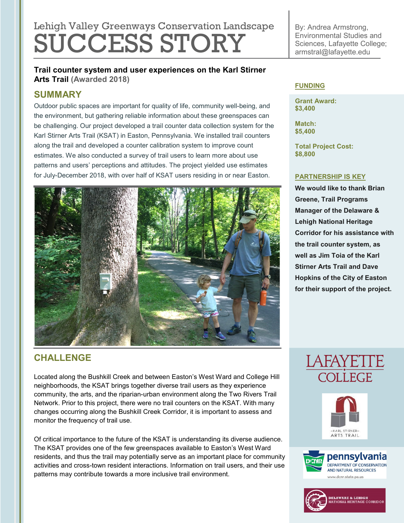# Lehigh Valley Greenways Conservation Landscape SUCCESS STORY

By: Andrea Armstrong, Environmental Studies and Sciences, Lafayette College; armstral@lafayette.edu

**Trail counter system and user experiences on the Karl Stirner Arts Trail (Awarded 2018)**

## **SUMMARY**

Outdoor public spaces are important for quality of life, community well-being, and the environment, but gathering reliable information about these greenspaces can be challenging. Our project developed a trail counter data collection system for the Karl Stirner Arts Trail (KSAT) in Easton, Pennsylvania. We installed trail counters along the trail and developed a counter calibration system to improve count estimates. We also conducted a survey of trail users to learn more about use patterns and users' perceptions and attitudes. The project yielded use estimates for July-December 2018, with over half of KSAT users residing in or near Easton.



## **CHALLENGE**

Located along the Bushkill Creek and between Easton's West Ward and College Hill neighborhoods, the KSAT brings together diverse trail users as they experience community, the arts, and the riparian-urban environment along the Two Rivers Trail Network. Prior to this project, there were no trail counters on the KSAT. With many changes occurring along the Bushkill Creek Corridor, it is important to assess and monitor the frequency of trail use.

Of critical importance to the future of the KSAT is understanding its diverse audience. The KSAT provides one of the few greenspaces available to Easton's West Ward residents, and thus the trail may potentially serve as an important place for community activities and cross-town resident interactions. Information on trail users, and their use patterns may contribute towards a more inclusive trail environment.

#### **FUNDING**

**Grant Award: \$3,400**

**Match: \$5,400**

**Total Project Cost: \$8,800**

#### **PARTNERSHIP IS KEY**

**We would like to thank Brian Greene, Trail Programs Manager of the Delaware & Lehigh National Heritage Corridor for his assistance with the trail counter system, as well as Jim Toia of the Karl Stirner Arts Trail and Dave Hopkins of the City of Easton for their support of the project.**